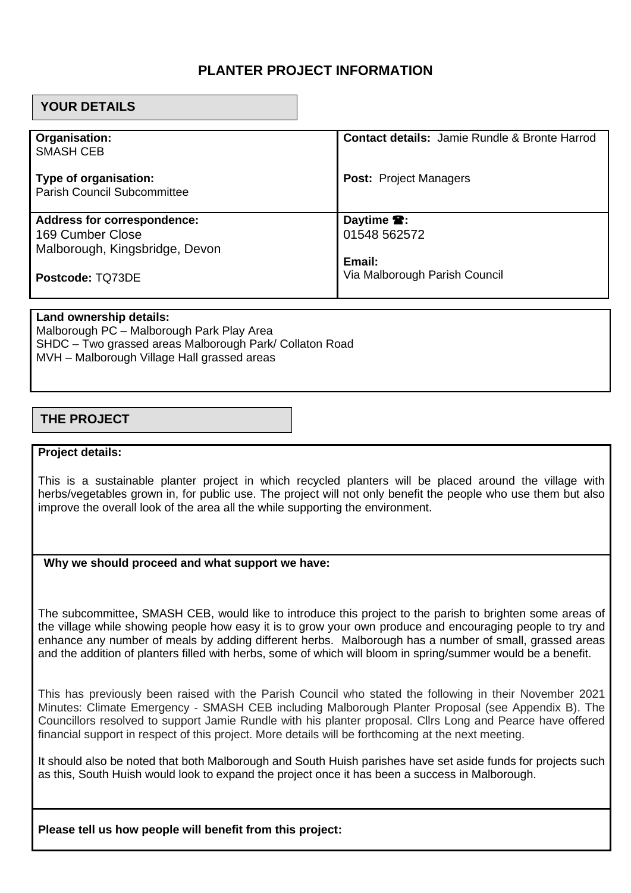## **PLANTER PROJECT INFORMATION**

## **YOUR DETAILS**

| Organisation:<br><b>SMASH CEB</b>                           | <b>Contact details: Jamie Rundle &amp; Bronte Harrod</b> |
|-------------------------------------------------------------|----------------------------------------------------------|
| Type of organisation:<br><b>Parish Council Subcommittee</b> | <b>Post: Project Managers</b>                            |
|                                                             |                                                          |
| <b>Address for correspondence:</b>                          | Daytime <sup>2</sup> :                                   |
| 169 Cumber Close                                            | 01548 562572                                             |
| Malborough, Kingsbridge, Devon                              |                                                          |
|                                                             | Email:                                                   |
| Postcode: TQ73DE                                            | Via Malborough Parish Council                            |

#### **Land ownership details:**

Malborough PC – Malborough Park Play Area SHDC – Two grassed areas Malborough Park/ Collaton Road MVH – Malborough Village Hall grassed areas

## **THE PROJECT**

#### **Project details:**

This is a sustainable planter project in which recycled planters will be placed around the village with herbs/vegetables grown in, for public use. The project will not only benefit the people who use them but also improve the overall look of the area all the while supporting the environment.

### **Why we should proceed and what support we have:**

The subcommittee, SMASH CEB, would like to introduce this project to the parish to brighten some areas of the village while showing people how easy it is to grow your own produce and encouraging people to try and enhance any number of meals by adding different herbs. Malborough has a number of small, grassed areas and the addition of planters filled with herbs, some of which will bloom in spring/summer would be a benefit.

This has previously been raised with the Parish Council who stated the following in their November 2021 Minutes: Climate Emergency - SMASH CEB including Malborough Planter Proposal (see Appendix B). The Councillors resolved to support Jamie Rundle with his planter proposal. Cllrs Long and Pearce have offered financial support in respect of this project. More details will be forthcoming at the next meeting.

It should also be noted that both Malborough and South Huish parishes have set aside funds for projects such as this, South Huish would look to expand the project once it has been a success in Malborough.

**Please tell us how people will benefit from this project:**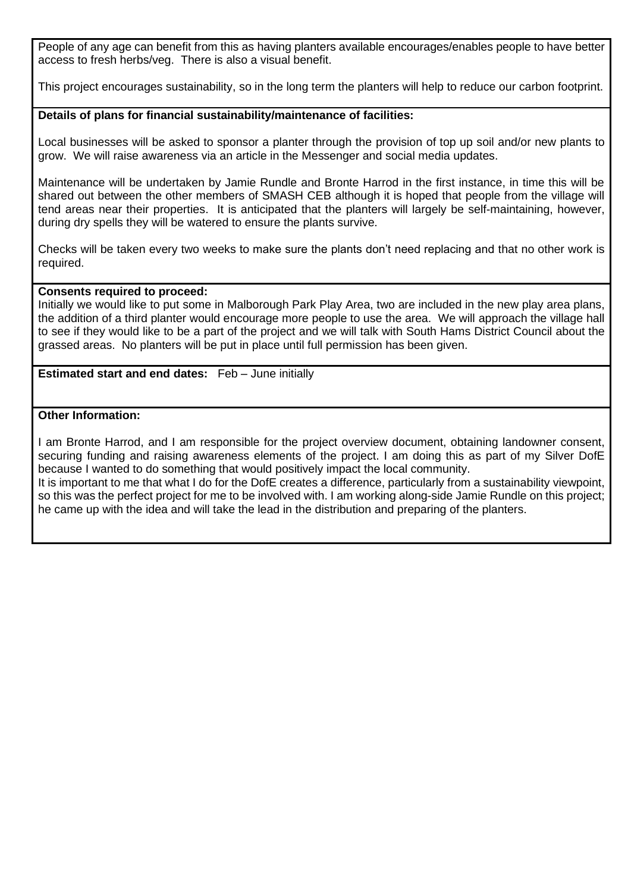People of any age can benefit from this as having planters available encourages/enables people to have better access to fresh herbs/veg. There is also a visual benefit.

This project encourages sustainability, so in the long term the planters will help to reduce our carbon footprint.

### **Details of plans for financial sustainability/maintenance of facilities:**

Local businesses will be asked to sponsor a planter through the provision of top up soil and/or new plants to grow. We will raise awareness via an article in the Messenger and social media updates.

Maintenance will be undertaken by Jamie Rundle and Bronte Harrod in the first instance, in time this will be shared out between the other members of SMASH CEB although it is hoped that people from the village will tend areas near their properties. It is anticipated that the planters will largely be self-maintaining, however, during dry spells they will be watered to ensure the plants survive.

Checks will be taken every two weeks to make sure the plants don't need replacing and that no other work is required.

#### **Consents required to proceed:**

Initially we would like to put some in Malborough Park Play Area, two are included in the new play area plans, the addition of a third planter would encourage more people to use the area. We will approach the village hall to see if they would like to be a part of the project and we will talk with South Hams District Council about the grassed areas. No planters will be put in place until full permission has been given.

**Estimated start and end dates:** Feb – June initially

### **Other Information:**

I am Bronte Harrod, and I am responsible for the project overview document, obtaining landowner consent, securing funding and raising awareness elements of the project. I am doing this as part of my Silver DofE because I wanted to do something that would positively impact the local community.

It is important to me that what I do for the DofE creates a difference, particularly from a sustainability viewpoint, so this was the perfect project for me to be involved with. I am working along-side Jamie Rundle on this project; he came up with the idea and will take the lead in the distribution and preparing of the planters.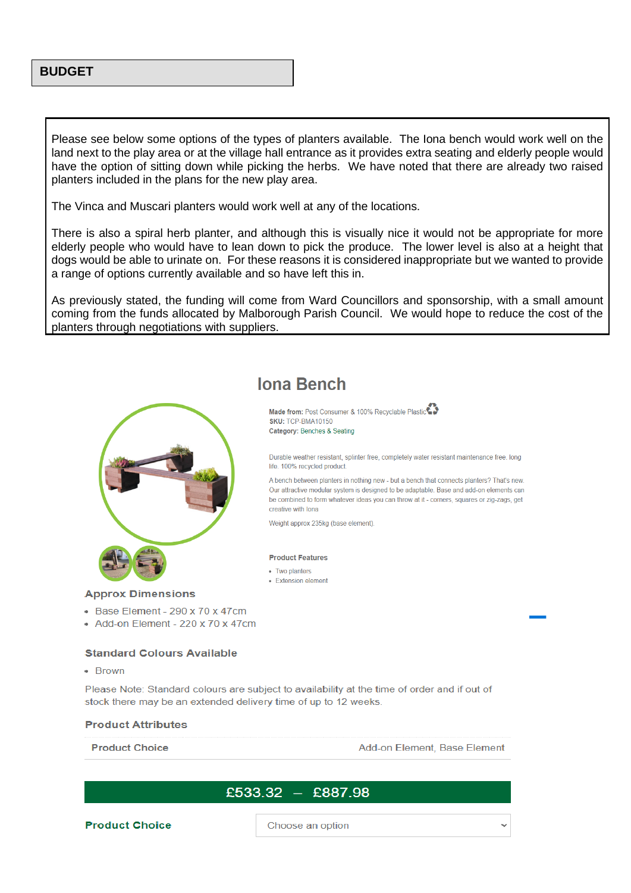### **BUDGET**

Please see below some options of the types of planters available. The Iona bench would work well on the land next to the play area or at the village hall entrance as it provides extra seating and elderly people would have the option of sitting down while picking the herbs. We have noted that there are already two raised planters included in the plans for the new play area.

The Vinca and Muscari planters would work well at any of the locations.

There is also a spiral herb planter, and although this is visually nice it would not be appropriate for more elderly people who would have to lean down to pick the produce. The lower level is also at a height that dogs would be able to urinate on. For these reasons it is considered inappropriate but we wanted to provide a range of options currently available and so have left this in.

As previously stated, the funding will come from Ward Councillors and sponsorship, with a small amount coming from the funds allocated by Malborough Parish Council. We would hope to reduce the cost of the planters through negotiations with suppliers.



#### **Approx Dimensions**

- Base Element 290 x 70 x 47cm
- $\bullet$  Add-on Element 220 x 70 x 47cm

#### **Standard Colours Available**

 $-$  Rrown

Please Note: Standard colours are subject to availability at the time of order and if out of stock there may be an extended delivery time of up to 12 weeks.

#### **Product Attributes**

**Product Choice** 

Add-on Element, Base Element

## £533.32 – £887.98

**Product Choice** 

Choose an option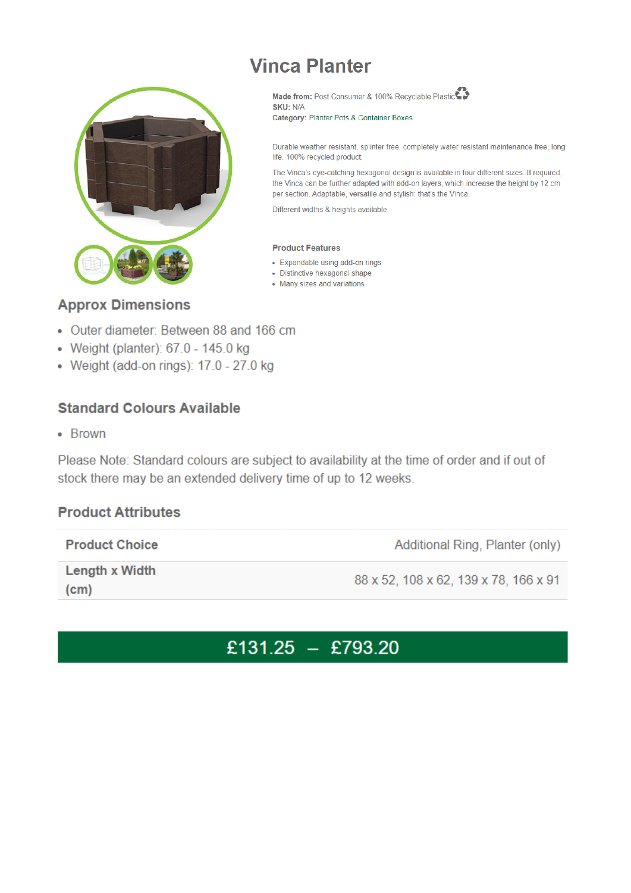# **Vinca Planter**



Made from: Post Consumer & 100% Recyclable Plastic SKU: N/A

Category: Planter Pots & Container Boxes

Durable weather resistant, splinter free, completely water resistant maintenance free. long life. 100% recycled product.

The Vinca's eye-catching hexagonal design is available in four different sizes. If required, the Vinca can be further adapted with add-on layers, which increase the height by 12 cm per section. Adaptable, versatile and stylish: that's the Vinca.

Different widths & heights available.

#### **Product Features**

- Expandable using add-on rings
- · Distinctive hexagonal shape
- Many sizes and variations

## **Approx Dimensions**

- Outer diameter: Between 88 and 166 cm
- Weight (planter): 67.0 145.0 kg
- Weight (add-on rings): 17.0 27.0 kg

# **Standard Colours Available**

• Brown

Please Note: Standard colours are subject to availability at the time of order and if out of stock there may be an extended delivery time of up to 12 weeks.

## **Product Attributes**

| <b>Product Choice</b>  | Additional Ring, Planter (only)       |
|------------------------|---------------------------------------|
| Length x Width<br>(cm) | 88 x 52, 108 x 62, 139 x 78, 166 x 91 |

# £131.25 - £793.20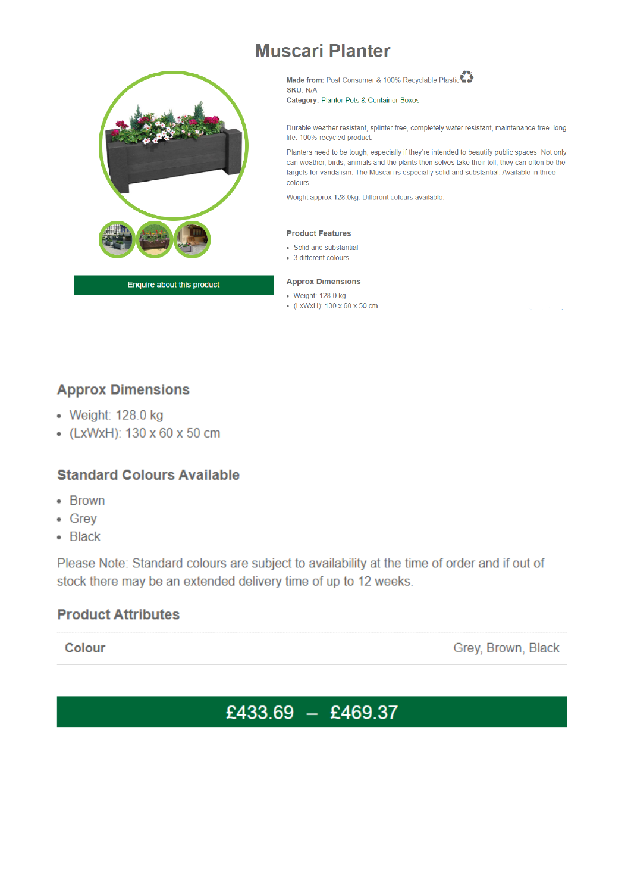# **Muscari Planter**



Enquire about this product

Made from: Post Consumer & 100% Recyclable Plastic SKU: N/A Category: Planter Pots & Container Boxes

Durable weather resistant, splinter free, completely water resistant, maintenance free. long life. 100% recycled product.

Planters need to be tough, especially if they're intended to beautify public spaces. Not only can weather, birds, animals and the plants themselves take their toll, they can often be the targets for vandalism. The Muscari is especially solid and substantial. Available in three colours.

Weight approx 128.0kg. Different colours available.

#### **Product Features**

- · Solid and substantial
- 3 different colours

#### **Approx Dimensions**

- Weight: 128.0 kg
- (LxWxH): 130 x 60 x 50 cm

# **Approx Dimensions**

- Weight: 128.0 kg
- (LxWxH): 130 x 60 x 50 cm

# **Standard Colours Available**

- Brown
- Grev
- Black

Please Note: Standard colours are subject to availability at the time of order and if out of stock there may be an extended delivery time of up to 12 weeks.

# **Product Attributes**

Colour

Grey, Brown, Black

# £433.69 - £469.37